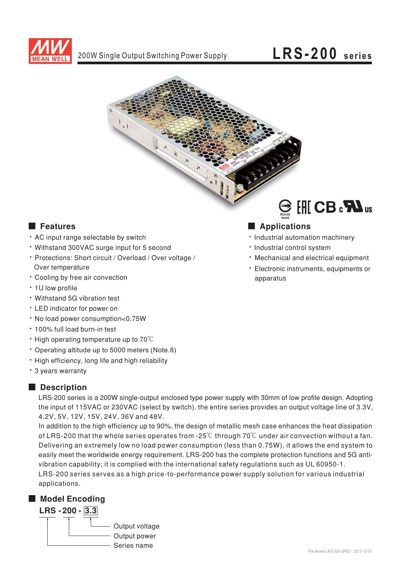



### ■ Features eatures ■ Ap

- AC input range selectable by switch
- · Withstand 300VAC surge input for 5 second
- Protections: Short circuit / Overload / Over voltage / Over temperature
- Cooling by free air convection
- 1U low profile
- Withstand 5G vibration test
- LED indicator for power on
- No load power consumption<0.75W
- 100% full load burn-in test
- $\cdot$  High operating temperature up to 70°C
- Operating altitude up to 5000 meters (Note.8)
- High efficiency, long life and high reliability
- · 3 years warranty

## ■ **Description**

LRS-200 series is a 200W single-output enclosed type power supply with 30mm of low profile design. Adopting the input of 115VAC or 230VAC (select by switch), the entire series provides an output voltage line of 3.3V, 4.2V, 5V, 12V, 15V, 24V, 36V and 48V.

easily meet the worldwide energy requirement. LRS-200 has the complete protection functions and 5G antivibration capability; it is complied with the international safety regulations such as UL 60950-1. LRS-200 series serves as a high price-to-performance power supply solution for various industrial In addition to the high efficiency up to 90%, the design of metallic mesh case enhances the heat dissipation of LRS-200 that the whole series operates from -25°C through 70°C under air convection without a fan. Delivering an extremely low no load power consumption (less than 0.75W), it allows the end system to

applications.

# ■ Model Encoding



### RoHS

- Industrial automation machinery
- · Industrial control system
- Mechanical and electrical equipment
- Electronic instruments, equipments or apparatus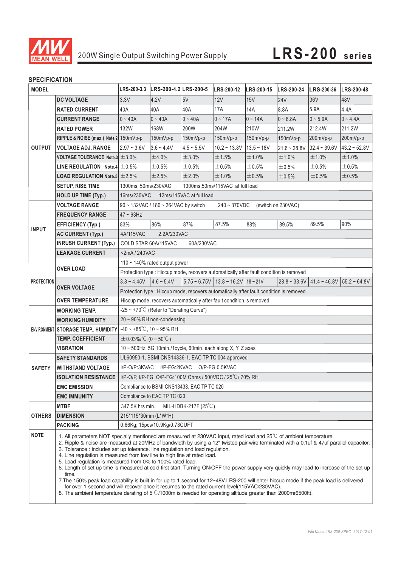

# 200W Single Output Switching Power Supply **LRS-200 series**

# **SPECIFICATION**

| <b>MODEL</b>      |                                                                                                                                                                                                                                                                                                                                                                                                                                                                                                                                                                                                                                                                                                                                                                                                                                                                                                                                                                                                                         |                                                                                        | LRS-200-3.3 LRS-200-4.2 LRS-200-5 |              | LRS-200-12                                                 | LRS-200-15 LRS-200-24 |                | <b>LRS-200-36</b>                              | LRS-200-48     |
|-------------------|-------------------------------------------------------------------------------------------------------------------------------------------------------------------------------------------------------------------------------------------------------------------------------------------------------------------------------------------------------------------------------------------------------------------------------------------------------------------------------------------------------------------------------------------------------------------------------------------------------------------------------------------------------------------------------------------------------------------------------------------------------------------------------------------------------------------------------------------------------------------------------------------------------------------------------------------------------------------------------------------------------------------------|----------------------------------------------------------------------------------------|-----------------------------------|--------------|------------------------------------------------------------|-----------------------|----------------|------------------------------------------------|----------------|
|                   | <b>DC VOLTAGE</b>                                                                                                                                                                                                                                                                                                                                                                                                                                                                                                                                                                                                                                                                                                                                                                                                                                                                                                                                                                                                       | 3.3V                                                                                   | 4.2V                              | 5V           | 12V                                                        | 15V                   | <b>24V</b>     | 36 <sub>V</sub>                                | 48V            |
| <b>OUTPUT</b>     | <b>RATED CURRENT</b>                                                                                                                                                                                                                                                                                                                                                                                                                                                                                                                                                                                                                                                                                                                                                                                                                                                                                                                                                                                                    | 40A                                                                                    | 40A                               | 40A          | <b>17A</b>                                                 | 14A                   | 8.8A           | 5.9A                                           | 4.4A           |
|                   | <b>CURRENT RANGE</b>                                                                                                                                                                                                                                                                                                                                                                                                                                                                                                                                                                                                                                                                                                                                                                                                                                                                                                                                                                                                    | $0 - 40A$                                                                              | $0 - 40A$                         | $ 0 - 40A$   | $0 - 17A$                                                  | $0 - 14A$             | $0 - 8.8A$     | $ 0 - 5.9A$                                    | $0 - 4.4A$     |
|                   | <b>RATED POWER</b>                                                                                                                                                                                                                                                                                                                                                                                                                                                                                                                                                                                                                                                                                                                                                                                                                                                                                                                                                                                                      | 132W                                                                                   | 168W                              | 200W         | 204W                                                       | 210W                  | 211.2W         | 212.4W                                         | 211.2W         |
|                   | RIPPLE & NOISE (max.) Note.2 150mVp-p                                                                                                                                                                                                                                                                                                                                                                                                                                                                                                                                                                                                                                                                                                                                                                                                                                                                                                                                                                                   |                                                                                        | 150mVp-p                          | 150mVp-p     | 150mVp-p                                                   | 150mVp-p              | 150mVp-p       | $ 200mVp-p $                                   | 200mVp-p       |
|                   | <b>VOLTAGE ADJ. RANGE</b>                                                                                                                                                                                                                                                                                                                                                                                                                                                                                                                                                                                                                                                                                                                                                                                                                                                                                                                                                                                               | $2.97 - 3.6V$                                                                          | $3.6 - 4.4V$                      | $4.5 - 5.5V$ | $10.2 - 13.8V$                                             | $13.5 - 18V$          | $21.6 - 28.8V$ | $ 32.4 - 39.6V$                                | $43.2 - 52.8V$ |
|                   | <b>VOLTAGE TOLERANCE Note.3 <math>\pm</math> 3.0%</b>                                                                                                                                                                                                                                                                                                                                                                                                                                                                                                                                                                                                                                                                                                                                                                                                                                                                                                                                                                   |                                                                                        | ±4.0%                             | ±3.0%        | ±1.5%                                                      | ±1.0%                 | ±1.0%          | ±1.0%                                          | ±1.0%          |
|                   | LINE REGULATION Note.4 $\pm$ 0.5%                                                                                                                                                                                                                                                                                                                                                                                                                                                                                                                                                                                                                                                                                                                                                                                                                                                                                                                                                                                       |                                                                                        | ±0.5%                             | ±0.5%        | $\pm 0.5\%$                                                | ±0.5%                 | ±0.5%          | ±0.5%                                          | ±0.5%          |
|                   | <b>LOAD REGULATION Note.5 <math>\pm</math> 2.5%</b>                                                                                                                                                                                                                                                                                                                                                                                                                                                                                                                                                                                                                                                                                                                                                                                                                                                                                                                                                                     |                                                                                        | ±2.5%                             | ±2.0%        | ±1.0%                                                      | ±0.5%                 | ±0.5%          | $\pm$ 0.5%                                     | ±0.5%          |
|                   | <b>SETUP, RISE TIME</b>                                                                                                                                                                                                                                                                                                                                                                                                                                                                                                                                                                                                                                                                                                                                                                                                                                                                                                                                                                                                 | 1300ms, 50ms/230VAC                                                                    |                                   |              | 1300ms, 50ms/115VAC at full load                           |                       |                |                                                |                |
|                   | <b>HOLD UP TIME (Typ.)</b>                                                                                                                                                                                                                                                                                                                                                                                                                                                                                                                                                                                                                                                                                                                                                                                                                                                                                                                                                                                              | 12ms/115VAC at full load<br>16ms/230VAC                                                |                                   |              |                                                            |                       |                |                                                |                |
|                   | <b>VOLTAGE RANGE</b>                                                                                                                                                                                                                                                                                                                                                                                                                                                                                                                                                                                                                                                                                                                                                                                                                                                                                                                                                                                                    | 90 ~ 132VAC / 180 ~ 264VAC by switch<br>240~370VDC<br>(switch on 230VAC)               |                                   |              |                                                            |                       |                |                                                |                |
| <b>INPUT</b>      | <b>FREQUENCY RANGE</b>                                                                                                                                                                                                                                                                                                                                                                                                                                                                                                                                                                                                                                                                                                                                                                                                                                                                                                                                                                                                  | $47 \sim 63$ Hz                                                                        |                                   |              |                                                            |                       |                |                                                |                |
|                   | <b>EFFICIENCY (Typ.)</b>                                                                                                                                                                                                                                                                                                                                                                                                                                                                                                                                                                                                                                                                                                                                                                                                                                                                                                                                                                                                | 83%                                                                                    | 86%                               | 87%          | 87.5%                                                      | 88%                   | 89.5%          | 89.5%                                          | 90%            |
|                   | <b>AC CURRENT (Typ.)</b>                                                                                                                                                                                                                                                                                                                                                                                                                                                                                                                                                                                                                                                                                                                                                                                                                                                                                                                                                                                                | 4A/115VAC                                                                              | 2.2A/230VAC                       |              |                                                            |                       |                |                                                |                |
|                   | <b>INRUSH CURRENT (Typ.)</b>                                                                                                                                                                                                                                                                                                                                                                                                                                                                                                                                                                                                                                                                                                                                                                                                                                                                                                                                                                                            | COLD STAR 60A/115VAC<br>60A/230VAC                                                     |                                   |              |                                                            |                       |                |                                                |                |
|                   | <b>LEAKAGE CURRENT</b>                                                                                                                                                                                                                                                                                                                                                                                                                                                                                                                                                                                                                                                                                                                                                                                                                                                                                                                                                                                                  | $<$ 2mA / 240VAC                                                                       |                                   |              |                                                            |                       |                |                                                |                |
| <b>PROTECTION</b> | <b>OVER LOAD</b>                                                                                                                                                                                                                                                                                                                                                                                                                                                                                                                                                                                                                                                                                                                                                                                                                                                                                                                                                                                                        | 110 $\sim$ 140% rated output power                                                     |                                   |              |                                                            |                       |                |                                                |                |
|                   |                                                                                                                                                                                                                                                                                                                                                                                                                                                                                                                                                                                                                                                                                                                                                                                                                                                                                                                                                                                                                         | Protection type : Hiccup mode, recovers automatically after fault condition is removed |                                   |              |                                                            |                       |                |                                                |                |
|                   | <b>OVER VOLTAGE</b>                                                                                                                                                                                                                                                                                                                                                                                                                                                                                                                                                                                                                                                                                                                                                                                                                                                                                                                                                                                                     | $3.8 - 4.45V$                                                                          | $4.6 - 5.4V$                      |              | $5.75 \approx 6.75V$ 13.8 $\approx 16.2V$ 18 $\approx 21V$ |                       |                | $28.8 \approx 33.6V$ 41.4 ~ 46.8V 55.2 ~ 64.8V |                |
|                   |                                                                                                                                                                                                                                                                                                                                                                                                                                                                                                                                                                                                                                                                                                                                                                                                                                                                                                                                                                                                                         | Protection type : Hiccup mode, recovers automatically after fault condition is removed |                                   |              |                                                            |                       |                |                                                |                |
|                   | <b>OVER TEMPERATURE</b>                                                                                                                                                                                                                                                                                                                                                                                                                                                                                                                                                                                                                                                                                                                                                                                                                                                                                                                                                                                                 | Hiccup mode, recovers automatically after fault condition is removed                   |                                   |              |                                                            |                       |                |                                                |                |
|                   | <b>WORKING TEMP.</b>                                                                                                                                                                                                                                                                                                                                                                                                                                                                                                                                                                                                                                                                                                                                                                                                                                                                                                                                                                                                    | $-25 \sim +70^{\circ}$ C (Refer to "Derating Curve")                                   |                                   |              |                                                            |                       |                |                                                |                |
|                   | <b>WORKING HUMIDITY</b>                                                                                                                                                                                                                                                                                                                                                                                                                                                                                                                                                                                                                                                                                                                                                                                                                                                                                                                                                                                                 | $20 \sim 90\%$ RH non-condensing                                                       |                                   |              |                                                            |                       |                |                                                |                |
|                   | ENVIRONMENT STORAGE TEMP., HUMIDITY                                                                                                                                                                                                                                                                                                                                                                                                                                                                                                                                                                                                                                                                                                                                                                                                                                                                                                                                                                                     | $-40 \sim +85^{\circ}$ C, 10 ~ 95% RH                                                  |                                   |              |                                                            |                       |                |                                                |                |
|                   | <b>TEMP. COEFFICIENT</b>                                                                                                                                                                                                                                                                                                                                                                                                                                                                                                                                                                                                                                                                                                                                                                                                                                                                                                                                                                                                | $\pm$ 0.03%/°C (0 ~ 50°C)                                                              |                                   |              |                                                            |                       |                |                                                |                |
|                   | <b>VIBRATION</b>                                                                                                                                                                                                                                                                                                                                                                                                                                                                                                                                                                                                                                                                                                                                                                                                                                                                                                                                                                                                        | 10 ~ 500Hz, 5G 10min./1cycle, 60min. each along X, Y, Z axes                           |                                   |              |                                                            |                       |                |                                                |                |
|                   | <b>SAFETY STANDARDS</b>                                                                                                                                                                                                                                                                                                                                                                                                                                                                                                                                                                                                                                                                                                                                                                                                                                                                                                                                                                                                 | UL60950-1, BSMI CNS14336-1, EAC TP TC 004 approved                                     |                                   |              |                                                            |                       |                |                                                |                |
| <b>SAFETY</b>     | <b>WITHSTAND VOLTAGE</b>                                                                                                                                                                                                                                                                                                                                                                                                                                                                                                                                                                                                                                                                                                                                                                                                                                                                                                                                                                                                | I/P-O/P:3KVAC I/P-FG:2KVAC O/P-FG:0.5KVAC                                              |                                   |              |                                                            |                       |                |                                                |                |
|                   | <b>ISOLATION RESISTANCE</b>                                                                                                                                                                                                                                                                                                                                                                                                                                                                                                                                                                                                                                                                                                                                                                                                                                                                                                                                                                                             | I/P-O/P, I/P-FG, O/P-FG:100M Ohms / 500VDC / 25°C/70% RH                               |                                   |              |                                                            |                       |                |                                                |                |
|                   | <b>EMC EMISSION</b>                                                                                                                                                                                                                                                                                                                                                                                                                                                                                                                                                                                                                                                                                                                                                                                                                                                                                                                                                                                                     | Compliance to BSMI CNS13438, EAC TP TC 020                                             |                                   |              |                                                            |                       |                |                                                |                |
|                   | <b>EMC IMMUNITY</b>                                                                                                                                                                                                                                                                                                                                                                                                                                                                                                                                                                                                                                                                                                                                                                                                                                                                                                                                                                                                     | Compliance to EAC TP TC 020                                                            |                                   |              |                                                            |                       |                |                                                |                |
| <b>OTHERS</b>     | <b>MTBF</b>                                                                                                                                                                                                                                                                                                                                                                                                                                                                                                                                                                                                                                                                                                                                                                                                                                                                                                                                                                                                             | 347.5K hrs min.<br>MIL-HDBK-217F $(25^{\circ}C)$                                       |                                   |              |                                                            |                       |                |                                                |                |
|                   | <b>DIMENSION</b>                                                                                                                                                                                                                                                                                                                                                                                                                                                                                                                                                                                                                                                                                                                                                                                                                                                                                                                                                                                                        | 215*115*30mm (L*W*H)                                                                   |                                   |              |                                                            |                       |                |                                                |                |
|                   | <b>PACKING</b>                                                                                                                                                                                                                                                                                                                                                                                                                                                                                                                                                                                                                                                                                                                                                                                                                                                                                                                                                                                                          |                                                                                        | 0.66Kg; 15pcs/10.9Kg/0.78CUFT     |              |                                                            |                       |                |                                                |                |
| <b>NOTE</b>       | 1. All parameters NOT specially mentioned are measured at 230VAC input, rated load and 25°C of ambient temperature.<br>2. Ripple & noise are measured at 20MHz of bandwidth by using a 12" twisted pair-wire terminated with a 0.1uf & 47uf parallel capacitor.<br>3. Tolerance: includes set up tolerance, line regulation and load regulation.<br>4. Line regulation is measured from low line to high line at rated load.<br>5. Load regulation is measured from 0% to 100% rated load.<br>6. Length of set up time is measured at cold first start. Turning ON/OFF the power supply very quickly may lead to increase of the set up<br>time.<br>7. The 150% peak load capability is built in for up to 1 second for 12~48V.LRS-200 will enter hiccup mode if the peak load is delivered<br>for over 1 second and will recover once it resumes to the rated current level(115VAC/230VAC).<br>8. The ambient temperature derating of $5^{\circ}$ C/1000m is needed for operating altitude greater than 2000m(6500ft). |                                                                                        |                                   |              |                                                            |                       |                |                                                |                |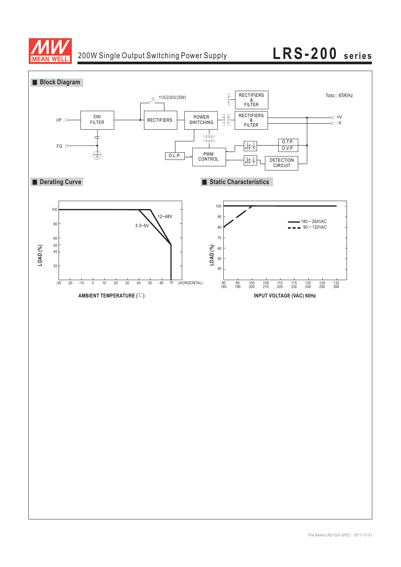